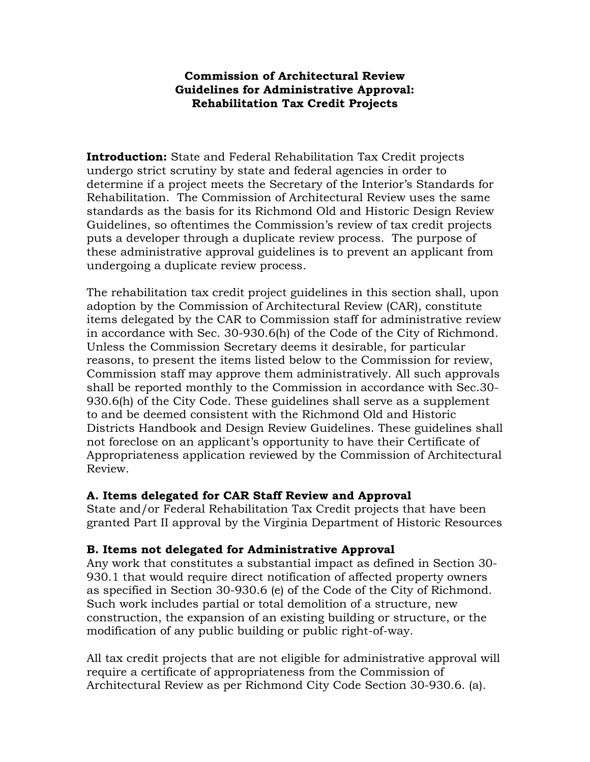## **Commission of Architectural Review Guidelines for Administrative Approval: Rehabilitation Tax Credit Projects**

**Introduction:** State and Federal Rehabilitation Tax Credit projects undergo strict scrutiny by state and federal agencies in order to determine if a project meets the Secretary of the Interior's Standards for Rehabilitation. The Commission of Architectural Review uses the same standards as the basis for its Richmond Old and Historic Design Review Guidelines, so oftentimes the Commission's review of tax credit projects puts a developer through a duplicate review process. The purpose of these administrative approval guidelines is to prevent an applicant from undergoing a duplicate review process.

The rehabilitation tax credit project guidelines in this section shall, upon adoption by the Commission of Architectural Review (CAR), constitute items delegated by the CAR to Commission staff for administrative review in accordance with Sec. 30-930.6(h) of the Code of the City of Richmond. Unless the Commission Secretary deems it desirable, for particular reasons, to present the items listed below to the Commission for review, Commission staff may approve them administratively. All such approvals shall be reported monthly to the Commission in accordance with Sec.30- 930.6(h) of the City Code. These guidelines shall serve as a supplement to and be deemed consistent with the Richmond Old and Historic Districts Handbook and Design Review Guidelines. These guidelines shall not foreclose on an applicant's opportunity to have their Certificate of Appropriateness application reviewed by the Commission of Architectural Review.

## **A. Items delegated for CAR Staff Review and Approval**

State and/or Federal Rehabilitation Tax Credit projects that have been granted Part II approval by the Virginia Department of Historic Resources

## **B. Items not delegated for Administrative Approval**

Any work that constitutes a substantial impact as defined in Section 30- 930.1 that would require direct notification of affected property owners as specified in Section 30-930.6 (e) of the Code of the City of Richmond. Such work includes partial or total demolition of a structure, new construction, the expansion of an existing building or structure, or the modification of any public building or public right-of-way.

All tax credit projects that are not eligible for administrative approval will require a certificate of appropriateness from the Commission of Architectural Review as per Richmond City Code Section 30-930.6. (a).